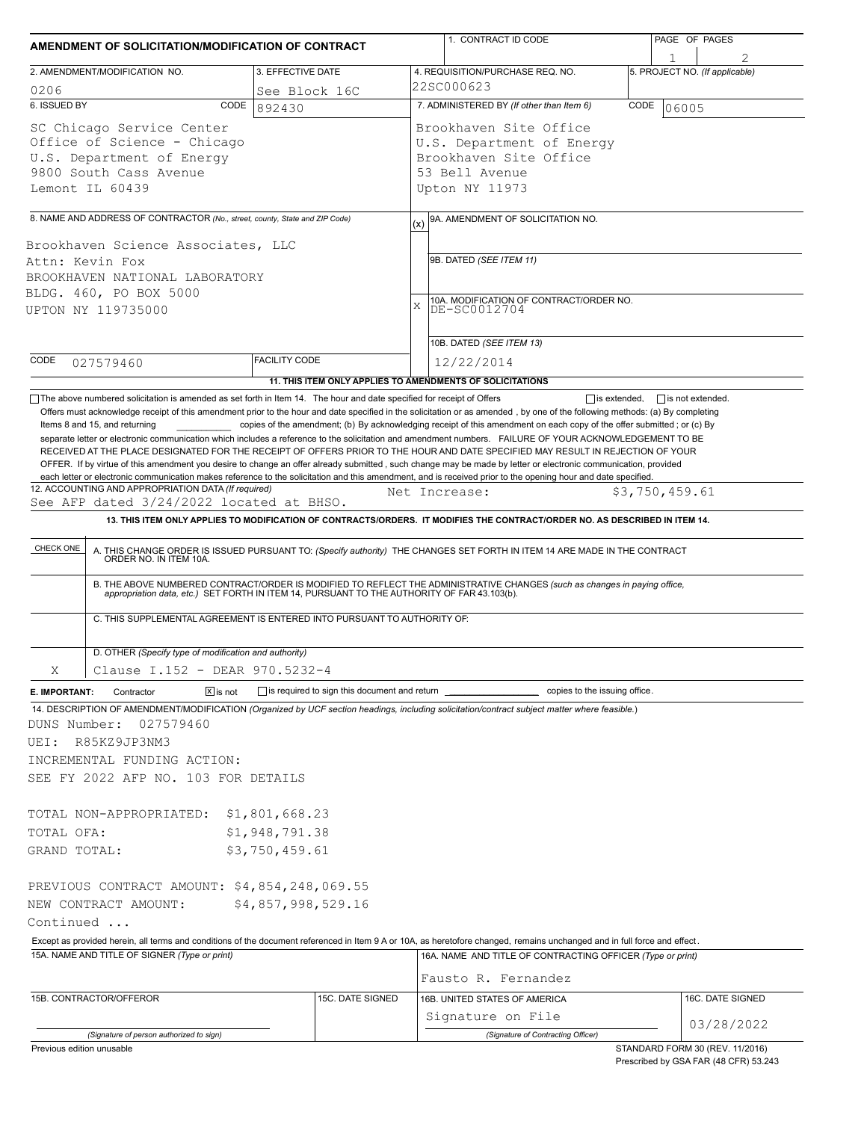|                                                                                                                                                                                                                                                                                                                                                                                                                                                                                                                                                                                                                                                         |            | AMENDMENT OF SOLICITATION/MODIFICATION OF CONTRACT                       | 1. CONTRACT ID CODE                                                                                                                                                                                                      | PAGE OF PAGES                                                                                                                                 |  |  |  |  |
|---------------------------------------------------------------------------------------------------------------------------------------------------------------------------------------------------------------------------------------------------------------------------------------------------------------------------------------------------------------------------------------------------------------------------------------------------------------------------------------------------------------------------------------------------------------------------------------------------------------------------------------------------------|------------|--------------------------------------------------------------------------|--------------------------------------------------------------------------------------------------------------------------------------------------------------------------------------------------------------------------|-----------------------------------------------------------------------------------------------------------------------------------------------|--|--|--|--|
| 2. AMENDMENT/MODIFICATION NO.                                                                                                                                                                                                                                                                                                                                                                                                                                                                                                                                                                                                                           |            | 3. EFFECTIVE DATE                                                        | 4. REQUISITION/PURCHASE REQ. NO.                                                                                                                                                                                         | 5. PROJECT NO. (If applicable)                                                                                                                |  |  |  |  |
| 0206                                                                                                                                                                                                                                                                                                                                                                                                                                                                                                                                                                                                                                                    |            | See Block 16C                                                            | 22SC000623                                                                                                                                                                                                               |                                                                                                                                               |  |  |  |  |
| 6. ISSUED BY                                                                                                                                                                                                                                                                                                                                                                                                                                                                                                                                                                                                                                            | CODE       | 892430                                                                   | 7. ADMINISTERED BY (If other than Item 6)                                                                                                                                                                                | CODE<br>06005                                                                                                                                 |  |  |  |  |
| SC Chicago Service Center<br>Office of Science - Chicago<br>U.S. Department of Energy<br>9800 South Cass Avenue<br>Lemont IL 60439                                                                                                                                                                                                                                                                                                                                                                                                                                                                                                                      |            |                                                                          | Brookhaven Site Office<br>U.S. Department of Energy<br>Brookhaven Site Office<br>53 Bell Avenue<br>Upton NY 11973                                                                                                        |                                                                                                                                               |  |  |  |  |
| 8. NAME AND ADDRESS OF CONTRACTOR (No., street, county, State and ZIP Code)                                                                                                                                                                                                                                                                                                                                                                                                                                                                                                                                                                             |            |                                                                          | 9A. AMENDMENT OF SOLICITATION NO.<br>(x)                                                                                                                                                                                 |                                                                                                                                               |  |  |  |  |
|                                                                                                                                                                                                                                                                                                                                                                                                                                                                                                                                                                                                                                                         |            |                                                                          |                                                                                                                                                                                                                          |                                                                                                                                               |  |  |  |  |
| Brookhaven Science Associates, LLC<br>Attn: Kevin Fox<br>BROOKHAVEN NATIONAL LABORATORY<br>BLDG. 460, PO BOX 5000<br>UPTON NY 119735000                                                                                                                                                                                                                                                                                                                                                                                                                                                                                                                 |            |                                                                          | 9B. DATED (SEE ITEM 11)<br>10A. MODIFICATION OF CONTRACT/ORDER NO.<br>DE-SC0012704<br>$\bar{X}$                                                                                                                          |                                                                                                                                               |  |  |  |  |
|                                                                                                                                                                                                                                                                                                                                                                                                                                                                                                                                                                                                                                                         |            |                                                                          | 10B. DATED (SEE ITEM 13)                                                                                                                                                                                                 |                                                                                                                                               |  |  |  |  |
| <b>FACILITY CODE</b><br>CODE<br>027579460<br>11. THIS ITEM ONLY APPLIES TO AMENDMENTS OF SOLICITATIONS                                                                                                                                                                                                                                                                                                                                                                                                                                                                                                                                                  |            |                                                                          | 12/22/2014                                                                                                                                                                                                               |                                                                                                                                               |  |  |  |  |
| See AFP dated 3/24/2022 located at BHSO.<br>CHECK ONE                                                                                                                                                                                                                                                                                                                                                                                                                                                                                                                                                                                                   |            |                                                                          | Net Increase:<br>A. THIS CHANGE ORDER IS ISSUED PURSUANT TO: (Specify authority) THE CHANGES SET FORTH IN ITEM 14 ARE MADE IN THE CONTRACT ORDER NO. IN ITEM 10A.                                                        | \$3,750,459.61<br>13. THIS ITEM ONLY APPLIES TO MODIFICATION OF CONTRACTS/ORDERS. IT MODIFIES THE CONTRACT/ORDER NO. AS DESCRIBED IN ITEM 14. |  |  |  |  |
|                                                                                                                                                                                                                                                                                                                                                                                                                                                                                                                                                                                                                                                         |            |                                                                          |                                                                                                                                                                                                                          |                                                                                                                                               |  |  |  |  |
|                                                                                                                                                                                                                                                                                                                                                                                                                                                                                                                                                                                                                                                         |            | C. THIS SUPPLEMENTAL AGREEMENT IS ENTERED INTO PURSUANT TO AUTHORITY OF: | B. THE ABOVE NUMBERED CONTRACT/ORDER IS MODIFIED TO REFLECT THE ADMINISTRATIVE CHANGES (such as changes in paying office,<br>appropriation data, etc.) SET FORTH IN ITEM 14, PURSUANT TO THE AUTHORITY OF FAR 43.103(b). |                                                                                                                                               |  |  |  |  |
| D. OTHER (Specify type of modification and authority)                                                                                                                                                                                                                                                                                                                                                                                                                                                                                                                                                                                                   |            |                                                                          |                                                                                                                                                                                                                          |                                                                                                                                               |  |  |  |  |
| Clause I.152 - DEAR 970.5232-4<br>Χ                                                                                                                                                                                                                                                                                                                                                                                                                                                                                                                                                                                                                     |            |                                                                          |                                                                                                                                                                                                                          |                                                                                                                                               |  |  |  |  |
| Contractor<br>027579460<br>R85KZ9JP3NM3                                                                                                                                                                                                                                                                                                                                                                                                                                                                                                                                                                                                                 | $X$ is not |                                                                          | is required to sign this document and return ____________________________ copies to the issuing office.                                                                                                                  |                                                                                                                                               |  |  |  |  |
|                                                                                                                                                                                                                                                                                                                                                                                                                                                                                                                                                                                                                                                         |            |                                                                          |                                                                                                                                                                                                                          |                                                                                                                                               |  |  |  |  |
|                                                                                                                                                                                                                                                                                                                                                                                                                                                                                                                                                                                                                                                         |            | \$1,948,791.38                                                           |                                                                                                                                                                                                                          |                                                                                                                                               |  |  |  |  |
|                                                                                                                                                                                                                                                                                                                                                                                                                                                                                                                                                                                                                                                         |            | \$3,750,459.61                                                           |                                                                                                                                                                                                                          |                                                                                                                                               |  |  |  |  |
| E. IMPORTANT:<br>14. DESCRIPTION OF AMENDMENT/MODIFICATION (Organized by UCF section headings, including solicitation/contract subject matter where feasible.)<br>DUNS Number:<br>UEI:<br>INCREMENTAL FUNDING ACTION:<br>SEE FY 2022 AFP NO. 103 FOR DETAILS<br>TOTAL NON-APPROPRIATED: \$1,801,668.23<br>TOTAL OFA:<br>GRAND TOTAL:<br>PREVIOUS CONTRACT AMOUNT: \$4,854,248,069.55<br>NEW CONTRACT AMOUNT:<br>Continued<br>Except as provided herein, all terms and conditions of the document referenced in Item 9 A or 10A, as heretofore changed, remains unchanged and in full force and effect.<br>15A. NAME AND TITLE OF SIGNER (Type or print) |            | \$4,857,998,529.16                                                       |                                                                                                                                                                                                                          | 16A. NAME AND TITLE OF CONTRACTING OFFICER (Type or print)                                                                                    |  |  |  |  |
|                                                                                                                                                                                                                                                                                                                                                                                                                                                                                                                                                                                                                                                         |            |                                                                          | Fausto R. Fernandez                                                                                                                                                                                                      |                                                                                                                                               |  |  |  |  |
|                                                                                                                                                                                                                                                                                                                                                                                                                                                                                                                                                                                                                                                         |            | 15C. DATE SIGNED                                                         | 16B. UNITED STATES OF AMERICA                                                                                                                                                                                            | 16C. DATE SIGNED                                                                                                                              |  |  |  |  |
| 15B. CONTRACTOR/OFFEROR<br>(Signature of person authorized to sign)                                                                                                                                                                                                                                                                                                                                                                                                                                                                                                                                                                                     |            |                                                                          | Signature on File<br>(Signature of Contracting Officer)                                                                                                                                                                  | 03/28/2022                                                                                                                                    |  |  |  |  |